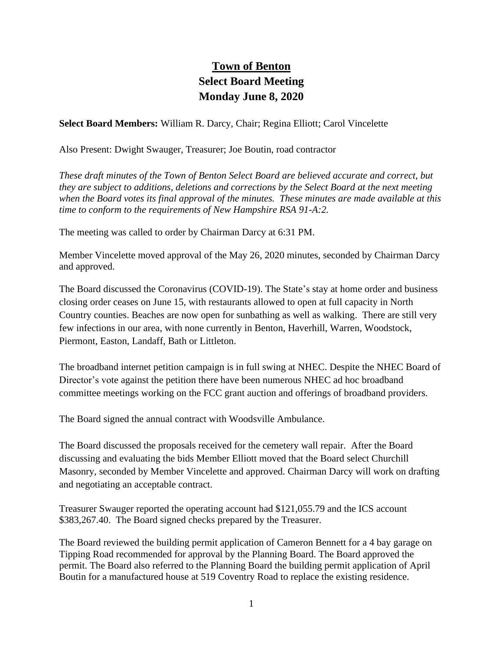## **Town of Benton Select Board Meeting Monday June 8, 2020**

**Select Board Members:** William R. Darcy, Chair; Regina Elliott; Carol Vincelette

Also Present: Dwight Swauger, Treasurer; Joe Boutin, road contractor

*These draft minutes of the Town of Benton Select Board are believed accurate and correct, but they are subject to additions, deletions and corrections by the Select Board at the next meeting when the Board votes its final approval of the minutes. These minutes are made available at this time to conform to the requirements of New Hampshire RSA 91-A:2.*

The meeting was called to order by Chairman Darcy at 6:31 PM.

Member Vincelette moved approval of the May 26, 2020 minutes, seconded by Chairman Darcy and approved.

The Board discussed the Coronavirus (COVID-19). The State's stay at home order and business closing order ceases on June 15, with restaurants allowed to open at full capacity in North Country counties. Beaches are now open for sunbathing as well as walking. There are still very few infections in our area, with none currently in Benton, Haverhill, Warren, Woodstock, Piermont, Easton, Landaff, Bath or Littleton.

The broadband internet petition campaign is in full swing at NHEC. Despite the NHEC Board of Director's vote against the petition there have been numerous NHEC ad hoc broadband committee meetings working on the FCC grant auction and offerings of broadband providers.

The Board signed the annual contract with Woodsville Ambulance.

The Board discussed the proposals received for the cemetery wall repair. After the Board discussing and evaluating the bids Member Elliott moved that the Board select Churchill Masonry, seconded by Member Vincelette and approved. Chairman Darcy will work on drafting and negotiating an acceptable contract.

Treasurer Swauger reported the operating account had \$121,055.79 and the ICS account \$383,267.40. The Board signed checks prepared by the Treasurer.

The Board reviewed the building permit application of Cameron Bennett for a 4 bay garage on Tipping Road recommended for approval by the Planning Board. The Board approved the permit. The Board also referred to the Planning Board the building permit application of April Boutin for a manufactured house at 519 Coventry Road to replace the existing residence.